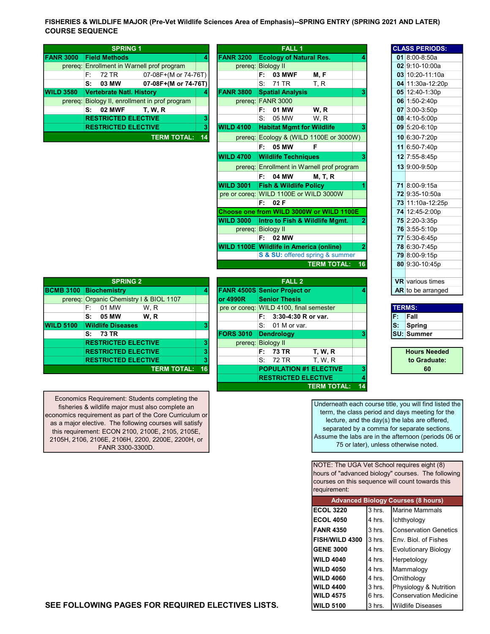FISHERIES & WILDLIFE MAJOR (Pre-Vet Wildlife Sciences Area of Emphasis)--SPRING ENTRY (SPRING 2021 AND LATER) COURSE SEQUENCE

|                  |      |       | <b>SPRING 1</b>                 |                                                |    |                  |    | <b>FALL 1</b>                    |                                         |  | <b>CLASS PERIOD</b>           |
|------------------|------|-------|---------------------------------|------------------------------------------------|----|------------------|----|----------------------------------|-----------------------------------------|--|-------------------------------|
| <b>FANR 3000</b> |      |       | <b>Field Methods</b>            |                                                | 4  | <b>FANR 3200</b> |    | <b>Ecology of Natural Res.</b>   |                                         |  | 01 $8:00 - 8:50a$             |
|                  |      |       |                                 | prereq: Enrollment in Warnell prof program     |    | prereq:          |    | <b>Biology II</b>                |                                         |  | 02 9:10-10:00a                |
|                  | F: I | 72 TR |                                 | 07-08F+(M or 74-76T)                           |    |                  | F. | <b>03 MWF</b>                    | M, F                                    |  | 03 10:20-11:10                |
|                  | S:   | 03 MW |                                 | 07-08F+(M or 74-76T)                           |    |                  |    | S: 71 TR                         | T.R                                     |  | 04 11:30a-12:2                |
| <b>WILD 3580</b> |      |       | <b>Vertebrate Natl. History</b> |                                                |    | <b>FANR 3800</b> |    | <b>Spatial Analysis</b>          |                                         |  | 05 12:40-1:30p                |
|                  |      |       |                                 | prereq: Biology II, enrollment in prof program |    |                  |    | prereq: FANR 3000                |                                         |  | $06$ 1:50-2:40p               |
|                  | s:   |       | <b>02 MWF</b>                   | <b>T. W. R</b>                                 |    |                  | F: | 01 MW                            | W.R                                     |  | $07$ 3:00-3:50p               |
|                  |      |       | <b>RESTRICTED ELECTIVE</b>      |                                                | 3  |                  |    | S: 05 MW                         | W.R                                     |  | 08 4:10-5:00p                 |
|                  |      |       | <b>RESTRICTED ELECTIVE</b>      |                                                | 3  | <b>WILD 4100</b> |    | <b>Habitat Mgmt for Wildlife</b> |                                         |  | $09 \vert 5:20 - 6:10p \vert$ |
|                  |      |       |                                 | <b>TERM TOTAL:</b>                             | 14 |                  |    |                                  | prereg: Ecology & (WILD 1100E or 3000W) |  | 10 6:30-7:20p                 |

|      |    | <b>SPRING 1</b>                 |                                                |    |                                                |        | <b>FALL 1</b>                     |                                            |                |  | <b>CLASS PERIODS:</b> |
|------|----|---------------------------------|------------------------------------------------|----|------------------------------------------------|--------|-----------------------------------|--------------------------------------------|----------------|--|-----------------------|
| 3000 |    | <b>Field Methods</b>            |                                                | 4  | <b>FANR 3200</b>                               |        |                                   | <b>Ecology of Natural Res.</b>             | 4              |  | 01 8:00-8:50a         |
|      |    |                                 | prereq: Enrollment in Warnell prof program     |    | prereq: Biology II                             |        |                                   |                                            |                |  | $02$ 9:10-10:00a      |
|      | F: | 72 TR                           | 07-08F+(M or 74-76T)                           |    |                                                | F.     | 03 MWF                            | M, F                                       |                |  | 03 10:20-11:10a       |
|      | S. | 03 MW                           | 07-08F+(M or 74-76T)                           |    |                                                | S.     | 71 TR                             | T, R                                       |                |  | 04 11:30a-12:20p      |
| 3580 |    | <b>Vertebrate Natl. History</b> |                                                | 4  | <b>FANR 3800</b>                               |        | <b>Spatial Analysis</b>           |                                            | 3              |  | 05 12:40-1:30p        |
|      |    |                                 | prereq: Biology II, enrollment in prof program |    | prereq: FANR 3000                              |        |                                   |                                            |                |  | 06 1:50-2:40p         |
|      | S: | <b>02 MWF</b>                   | <b>T. W. R</b>                                 |    |                                                | F.     | 01 MW                             | W, R                                       |                |  | 07 3:00-3:50p         |
|      |    | <b>RESTRICTED ELECTIVE</b>      |                                                | 3  |                                                | S.     | 05 MW                             | W.R                                        |                |  | 08 4:10-5:00p         |
|      |    | <b>RESTRICTED ELECTIVE</b>      |                                                | 3  | <b>WILD 4100</b>                               |        |                                   | <b>Habitat Mgmt for Wildlife</b>           | 3              |  | 09 5:20-6:10p         |
|      |    |                                 | <b>TERM TOTAL:</b>                             | 14 |                                                |        |                                   | prereq: Ecology & (WILD 1100E or 3000W)    |                |  | 10 6:30-7:20p         |
|      |    |                                 |                                                |    |                                                | F:     | 05 MW                             | F                                          |                |  | 11 6:50-7:40p         |
|      |    |                                 |                                                |    | <b>WILD 4700</b>                               |        | <b>Wildlife Techniques</b>        |                                            | 3              |  | 12 7:55-8:45p         |
|      |    |                                 |                                                |    |                                                |        |                                   | prereq: Enrollment in Warnell prof program |                |  | 13 9:00-9:50p         |
|      |    |                                 |                                                |    |                                                | F.     | 04 MW                             | <b>M, T, R</b>                             |                |  |                       |
|      |    |                                 |                                                |    | <b>WILD 3001</b>                               |        | <b>Fish &amp; Wildlife Policy</b> |                                            |                |  | 71 8:00-9:15a         |
|      |    |                                 |                                                |    | pre or coreq: WILD 1100E or WILD 3000W         |        |                                   |                                            |                |  | 72 9:35-10:50a        |
|      |    |                                 |                                                |    |                                                | F: 02F |                                   |                                            |                |  | 73 11:10a-12:25p      |
|      |    |                                 |                                                |    |                                                |        |                                   | Choose one from WILD 3000W or WILD 1100E   |                |  | 74 12:45-2:00p        |
|      |    |                                 |                                                |    | <b>WILD 3000</b>                               |        |                                   | Intro to Fish & Wildlife Mgmt.             |                |  | 75 2:20-3:35p         |
|      |    |                                 |                                                |    | prereg: Biology II                             |        |                                   |                                            |                |  | 76 3:55-5:10p         |
|      |    |                                 |                                                |    |                                                | F: I   | 02 MW                             |                                            |                |  | 77 5:30-6:45p         |
|      |    |                                 |                                                |    | <b>WILD 1100E Wildlife in America (online)</b> |        |                                   |                                            | $\overline{2}$ |  | 78 6:30-7:45p         |
|      |    |                                 |                                                |    |                                                |        |                                   | S & SU: offered spring & summer            |                |  | 79 8:00-9:15p         |
|      |    |                                 |                                                |    |                                                |        |                                   | <b>TERM TOTAL:</b>                         | 16             |  | 80 9:30-10:45p        |
|      |    |                                 |                                                |    |                                                |        |                                   |                                            |                |  |                       |

|                  |    | <b>SPRING 2</b>            |                                         |    |                                         |          | FALL <sub>2</sub>    |                               |  |               | <b>VR</b> various times |
|------------------|----|----------------------------|-----------------------------------------|----|-----------------------------------------|----------|----------------------|-------------------------------|--|---------------|-------------------------|
| <b>BCMB 3100</b> |    | <b>Biochemistry</b>        |                                         |    | <b>FANR 4500S Senior Project or</b>     |          |                      |                               |  |               | AR to be arranged       |
|                  |    |                            | prereq: Organic Chemistry I & BIOL 1107 |    | lor 4990R                               |          | <b>Senior Thesis</b> |                               |  |               |                         |
|                  | F: | 01 MW                      | W.R                                     |    | pre or coreq: WILD 4100, final semester |          |                      |                               |  | <b>TERMS:</b> |                         |
|                  | s: | 05 MW                      | W.R                                     |    |                                         | F: .     | 3:30-4:30 R or var.  |                               |  | F.            | Fall                    |
| <b>WILD 5100</b> |    | <b>Wildlife Diseases</b>   |                                         |    |                                         | $S_{1}$  | 01 M or var.         |                               |  | lS:           | Spring                  |
|                  |    | S: 73 TR                   |                                         |    | <b>FORS 3010</b>                        |          | <b>Dendrology</b>    |                               |  |               | ISU: Summer             |
|                  |    | <b>RESTRICTED ELECTIVE</b> |                                         |    | prereq: Biology II                      |          |                      |                               |  |               |                         |
|                  |    | <b>RESTRICTED ELECTIVE</b> |                                         |    |                                         | F: 73 TR |                      | <b>T. W. R</b>                |  |               | <b>Hours Needed</b>     |
|                  |    | <b>RESTRICTED ELECTIVE</b> |                                         |    |                                         |          | S: 72 TR             | <b>T.W.R</b>                  |  |               | to Graduate:            |
|                  |    |                            | <b>TERM TOTAL:</b>                      | 16 |                                         |          |                      | <b>POPULATION #1 ELECTIVE</b> |  |               | 60                      |
|                  |    |                            |                                         |    |                                         |          |                      |                               |  |               |                         |

|                                 |                 |                                     |  |                      | <b>WILD 1100E</b> WIRDING IN AMERICA (ONLINE) |                       |    | 78 0:30-7:45         |
|---------------------------------|-----------------|-------------------------------------|--|----------------------|-----------------------------------------------|-----------------------|----|----------------------|
|                                 |                 |                                     |  |                      | S & SU: offered spring & summer               |                       |    | 79 8:00-9:15         |
|                                 |                 |                                     |  |                      | <b>TERM TOTAL:</b>                            | 16                    |    | 80 9:30-10:4         |
| <b>SPRING 2</b>                 |                 |                                     |  |                      |                                               | <b>VR</b> various til |    |                      |
| <b>Biochemistry</b>             |                 | <b>FANR 4500S Senior Project or</b> |  |                      |                                               |                       |    | <b>AR</b> to be arra |
| Organic Chemistry I & BIOL 1107 |                 | lor 4990R                           |  | <b>Senior Thesis</b> |                                               |                       |    |                      |
| F:<br>01 MW<br>W.R              |                 |                                     |  |                      | pre or coreq: WILD 4100, final semester       |                       |    | <b>TERMS:</b>        |
| S: 05 MW<br>W.R                 |                 |                                     |  |                      | $F: 3:30-4:30 R$ or var.                      |                       | F. | Fall                 |
| <b>Wildlife Diseases</b>        |                 |                                     |  | $S: 01$ M or var.    |                                               |                       | S: | Spring               |
| S: 73 TR                        |                 | <b>FORS 3010</b>                    |  | <b>Dendrology</b>    |                                               |                       |    | <b>SU: Summer</b>    |
| <b>RESTRICTED ELECTIVE</b>      |                 | prereg: Biology II                  |  |                      |                                               |                       |    |                      |
| <b>RESTRICTED ELECTIVE</b>      |                 |                                     |  | F: 73 TR             | <b>T. W. R</b>                                |                       |    | <b>Hours Ne</b>      |
| <b>RESTRICTED ELECTIVE</b>      |                 |                                     |  | S: 72 TR             | <b>T. W. R</b>                                |                       |    | to Gradu             |
| <b>TERM TOTAL:</b>              | 16 <sup>1</sup> |                                     |  |                      | <b>POPULATION #1 ELECTIVE</b>                 |                       |    | 60                   |
|                                 |                 |                                     |  |                      | <b>RESTRICTED ELECTIVE</b>                    |                       |    |                      |
|                                 |                 |                                     |  |                      | <b>TERM TOTAL:</b>                            | 14                    |    |                      |

|    | <b>CLASS PERIODS:</b>   |
|----|-------------------------|
|    | $01 \, 8:00 - 8:50a$    |
|    | 02 9:10-10:00a          |
|    | 03 10:20-11:10a         |
|    | 04 11:30a-12:20p        |
|    | 05 12:40-1:30p          |
|    | 06 1:50-2:40p           |
|    | $07 \, 3:00 - 3:50p$    |
|    | 08 4:10-5:00p           |
|    | $09 \mid 5:20 - 6:10p$  |
|    | 10 6:30-7:20p           |
| 11 | $6:50 - 7:40p$          |
|    | 12 7:55-8:45p           |
|    | 13 9:00-9:50p           |
|    |                         |
|    | 71 8:00-9:15a           |
|    | <b>72</b> 9:35-10:50a   |
|    | 73 11:10a-12:25p        |
|    | 74 12:45-2:00p          |
|    | 75 2:20-3:35p           |
|    | 76 3:55-5:10p           |
|    | 77 5:30-6:45p           |
|    | 78 6:30-7:45p           |
|    | 79 8:00-9:15p           |
|    | 80 9:30-10:45p          |
|    |                         |
|    | <b>VR</b> various times |
|    | AR to be arranged       |

| <b>TERMS:</b>     |
|-------------------|
| Fall              |
| Spring            |
| <b>SU: Summer</b> |

Hours Needed to Graduate: 60

Underneath each course title, you will find listed the term, the class period and days meeting for the lecture, and the day(s) the labs are offered, separated by a comma for separate sections. Assume the labs are in the afternoon (periods 06 or 75 or later), unless otherwise noted.

NOTE: The UGA Vet School requires eight (8) hours of "advanced biology" courses. The following courses on this sequence will count towards this requirement:

|                  |          | <b>Advanced Biology Courses (8 hours)</b> |
|------------------|----------|-------------------------------------------|
| <b>ECOL 3220</b> | 3 hrs.   | <b>Marine Mammals</b>                     |
| <b>ECOL 4050</b> | 4 hrs.   | Ichthyology                               |
| <b>FANR 4350</b> | $3$ hrs. | <b>Conservation Genetics</b>              |
| FISH/WILD 4300   | $3$ hrs. | Env. Biol. of Fishes                      |
| <b>GENE 3000</b> | 4 hrs.   | <b>Evolutionary Biology</b>               |
| <b>WILD 4040</b> | 4 hrs.   | Herpetology                               |
| <b>WILD 4050</b> | 4 hrs.   | Mammalogy                                 |
| <b>WILD 4060</b> | 4 hrs.   | Ornithology                               |
| <b>WILD 4400</b> | $3$ hrs. | Physiology & Nutrition                    |
| <b>WILD 4575</b> | 6 hrs.   | <b>Conservation Medicine</b>              |
| <b>WILD 5100</b> | 3 hrs.   | <b>Wildlife Diseases</b>                  |

Economics Requirement: Students completing the fisheries & wildlife major must also complete an economics requirement as part of the Core Curriculum or as a major elective. The following courses will satisfy this requirement: ECON 2100, 2100E, 2105, 2105E, 2105H, 2106, 2106E, 2106H, 2200, 2200E, 2200H, or FANR 3300-3300D.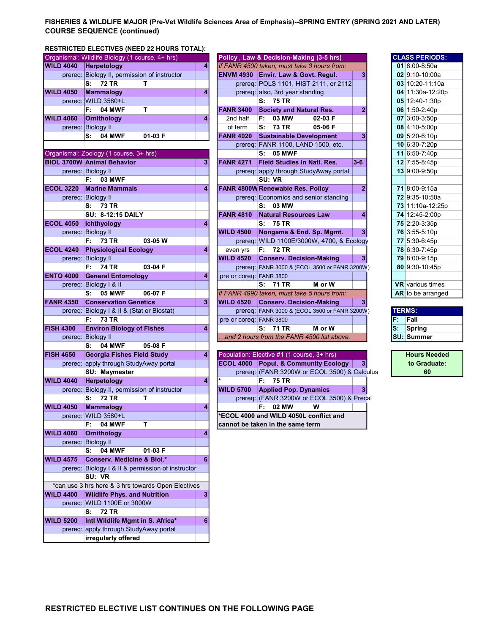## FISHERIES & WILDLIFE MAJOR (Pre-Vet Wildlife Sciences Area of Emphasis)--SPRING ENTRY (SPRING 2021 AND LATER) COURSE SEQUENCE (continued)

# RESTRICTED ELECTIVES (NEED 22 HOURS TOTAL):

|                  | Organismal: Wildlife Biology (1 course, 4+ hrs)               |   |                         | Policy, Law & Decision-Making (3-5 hrs)         |                |    | <b>CLASS PERIODS:</b>   |
|------------------|---------------------------------------------------------------|---|-------------------------|-------------------------------------------------|----------------|----|-------------------------|
| <b>WILD 4040</b> | Herpetology                                                   | 4 |                         | If FANR 4500 taken, must take 3 hours from:     |                |    | 01 8:00-8:50a           |
|                  | prereq: Biology II, permission of instructor                  |   |                         | ENVM 4930 Envir. Law & Govt. Regul.             | 3              |    | 02 9:10-10:00a          |
|                  | S:<br><b>72 TR</b><br>T.                                      |   |                         | prereq: POLS 1101, HIST 2111, or 2112           |                |    | 03 10:20-11:10a         |
| <b>WILD 4050</b> | Mammalogy                                                     | 4 |                         | prereq: also, 3rd year standing                 |                |    | 04 11:30a-12:20p        |
|                  | prereq: WILD 3580+L                                           |   |                         | S: 75 TR                                        |                |    | 05 12:40-1:30p          |
|                  | т<br>F: I<br><b>04 MWF</b>                                    |   | <b>FANR 3400</b>        | <b>Society and Natural Res.</b>                 | $\overline{2}$ |    | 06 1:50-2:40p           |
| <b>WILD 4060</b> | <b>Ornithology</b>                                            | 4 | 2nd half                | 03 MW<br>02-03 F<br>F:                          |                |    | 07 3:00-3:50p           |
|                  | prereq: Biology II                                            |   | of term                 | S: 73 TR<br>05-06 F                             |                |    | 08 4:10-5:00p           |
|                  | <b>04 MWF</b><br>01-03 F<br>S:                                |   | <b>FANR 4020</b>        | <b>Sustainable Development</b>                  | 3              |    | 09 5:20-6:10p           |
|                  |                                                               |   |                         | prereg: FANR 1100, LAND 1500, etc.              |                |    | 10 6:30-7:20p           |
|                  | Organismal: Zoology (1 course, 3+ hrs)                        |   |                         | S: 05 MWF                                       |                |    | 11 6:50-7:40p           |
|                  | <b>BIOL 3700W Animal Behavior</b>                             | 3 | <b>FANR 4271</b>        | <b>Field Studies in Natl. Res.</b>              | $3-6$          |    | 12 7:55-8:45p           |
|                  | prereq: Biology II                                            |   |                         | prereq: apply through StudyAway portal          |                |    | 13 9:00-9:50p           |
|                  | <b>03 MWF</b><br>F: I                                         |   |                         | SU: VR                                          |                |    |                         |
| <b>ECOL 3220</b> | <b>Marine Mammals</b>                                         | 4 |                         | <b>FANR 4800W Renewable Res. Policy</b>         | $\overline{2}$ |    | 71 8:00-9:15a           |
|                  | prereq: Biology II                                            |   |                         | prereq: Economics and senior standing           |                |    | 72 9:35-10:50a          |
|                  | S: 73 TR                                                      |   |                         | S: 03 MW                                        |                |    | 73 11:10a-12:25p        |
|                  | <b>SU: 8-12:15 DAILY</b>                                      |   | <b>FANR 4810</b>        | <b>Natural Resources Law</b>                    | 4              |    | 74 12:45-2:00p          |
| <b>ECOL 4050</b> | Ichthyology                                                   | 4 |                         | S: 75 TR                                        |                |    | 75 2:20-3:35p           |
|                  | prereq: Biology II                                            |   | <b>WILD 4500</b>        | Nongame & End. Sp. Mgmt.                        | 3 <sup>1</sup> |    | 76 3:55-5:10p           |
|                  | <b>73 TR</b><br>03-05 W<br>F: I                               |   |                         | prereq: WILD 1100E/3000W, 4700, & Ecology       |                |    | 77 5:30-6:45p           |
| <b>ECOL 4240</b> | <b>Physiological Ecology</b>                                  | 4 | even yrs                | F: 72 TR                                        |                |    | 78 6:30-7:45p           |
|                  | prereq: Biology II                                            |   | <b>WILD 4520</b>        | <b>Conserv. Decision-Making</b>                 | 3 <sup>1</sup> |    | 79 8:00-9:15p           |
|                  | <b>74 TR</b><br>F:<br>03-04 F                                 |   |                         | prereq: FANR 3000 & (ECOL 3500 or FANR 3200W)   |                |    | 80 9:30-10:45p          |
| <b>ENTO 4000</b> | <b>General Entomology</b>                                     | 4 | pre or coreq: FANR 3800 |                                                 |                |    |                         |
|                  | prereq: Biology I & II                                        |   |                         | S: 71 TR<br>M or W                              |                |    | <b>VR</b> various times |
|                  | <b>05 MWF</b><br>06-07 F<br>s:                                |   |                         | If FANR 4990 taken, must take 5 hours from:     |                |    | AR to be arranged       |
| <b>FANR 4350</b> | <b>Conservation Genetics</b>                                  | 3 | <b>WILD 4520</b>        | <b>Conserv. Decision-Making</b>                 | 3              |    |                         |
|                  | prereq: Biology I & II & (Stat or Biostat)                    |   |                         | prereq: FANR 3000 & (ECOL 3500 or FANR 3200W)   |                |    | <b>TERMS:</b>           |
|                  | <b>73 TR</b><br>F: .                                          |   | pre or coreq: FANR 3800 |                                                 |                | F. | Fall                    |
| <b>FISH 4300</b> | <b>Environ Biology of Fishes</b>                              | 4 |                         | S: 71 TR<br>M or W                              |                | s: | <b>Spring</b>           |
|                  | prereq: Biology II                                            |   |                         | .and 2 hours from the FANR 4500 list above.     |                |    | <b>SU: Summer</b>       |
|                  | <b>04 MWF</b><br>S:<br>05-08 F                                |   |                         |                                                 |                |    |                         |
| <b>FISH 4650</b> | <b>Georgia Fishes Field Study</b>                             | 4 |                         | Population: Elective #1 (1 course, 3+ hrs)      |                |    | <b>Hours Needed</b>     |
|                  | prereq: apply through StudyAway portal                        |   |                         | <b>ECOL 4000 Popul. &amp; Community Ecology</b> | 3              |    | to Graduate:            |
|                  | SU: Maymester                                                 |   |                         | prereq: (FANR 3200W or ECOL 3500) & Calculus    |                |    | 60                      |
| <b>WILD 4040</b> | Herpetology                                                   | 4 |                         | F: 75 TR                                        |                |    |                         |
| prereq:          | Biology II, permission of instructor                          |   | <b>WILD 5700</b>        | <b>Applied Pop. Dynamics</b>                    | 3 <sup>1</sup> |    |                         |
|                  | 72 TR<br>S:<br>т                                              |   |                         | prereq: (FANR 3200W or ECOL 3500) & Precal      |                |    |                         |
| <b>WILD 4050</b> |                                                               |   |                         |                                                 |                |    |                         |
|                  |                                                               | 4 |                         |                                                 |                |    |                         |
|                  | <b>Mammalogy</b>                                              |   |                         | F: 02 MW<br>w                                   |                |    |                         |
|                  | prereq: WILD 3580+L<br>т<br>F:                                |   |                         | <b>ECOL 4000 and WILD 4050L conflict and</b>    |                |    |                         |
|                  | 04 MWF                                                        | 4 |                         | cannot be taken in the same term                |                |    |                         |
| <b>WILD 4060</b> | <b>Ornithology</b>                                            |   |                         |                                                 |                |    |                         |
|                  | prereq: Biology II<br>S:                                      |   |                         |                                                 |                |    |                         |
|                  | <b>04 MWF</b><br>01-03 F                                      | 6 |                         |                                                 |                |    |                         |
| <b>WILD 4575</b> | <b>Conserv. Medicine &amp; Biol.*</b>                         |   |                         |                                                 |                |    |                         |
|                  | prereq: Biology I & II & permission of instructor             |   |                         |                                                 |                |    |                         |
|                  | SU: VR                                                        |   |                         |                                                 |                |    |                         |
|                  | *can use 3 hrs here & 3 hrs towards Open Electives            |   |                         |                                                 |                |    |                         |
| <b>WILD 4400</b> | <b>Wildlife Phys. and Nutrition</b>                           | 3 |                         |                                                 |                |    |                         |
|                  | prereq: WILD 1100E or 3000W                                   |   |                         |                                                 |                |    |                         |
|                  | 72 TR<br>s:                                                   |   |                         |                                                 |                |    |                         |
| <b>WILD 5200</b> | Intl Wildlife Mgmt in S. Africa*                              | 6 |                         |                                                 |                |    |                         |
|                  | prereq: apply through StudyAway portal<br>irregularly offered |   |                         |                                                 |                |    |                         |

|                  | Organismal: Wildlife Biology (1 course, 4+ hrs) |   |                         | Policy, Law & Decision-Making (3-5 hrs)       |                |    | <b>CLASS PERIODS:</b>   |
|------------------|-------------------------------------------------|---|-------------------------|-----------------------------------------------|----------------|----|-------------------------|
| <b>WILD 4040</b> | <b>Herpetology</b>                              | 4 |                         | If FANR 4500 taken, must take 3 hours from:   |                |    | 01 8:00-8:50a           |
|                  | prereq: Biology II, permission of instructor    |   |                         | ENVM 4930 Envir. Law & Govt. Regul.           | 3              |    | 02 9:10-10:00a          |
|                  | <b>72 TR</b><br>S:<br>т                         |   |                         | prereq: POLS 1101, HIST 2111, or 2112         |                |    | 03 10:20-11:10a         |
| <b>WILD 4050</b> | Mammalogy                                       | 4 |                         | prereq: also, 3rd year standing               |                |    | 04 11:30a-12:20p        |
|                  | prereq: WILD 3580+L                             |   |                         | S: 75 TR                                      |                |    | 05 12:40-1:30p          |
|                  | T<br>F:<br><b>04 MWF</b>                        |   | <b>FANR 3400</b>        | <b>Society and Natural Res.</b>               | $\overline{2}$ |    | 06 1:50-2:40p           |
| <b>WILD 4060</b> | <b>Ornithology</b>                              | 4 | 2nd half                | 03 MW<br>F:<br>02-03 F                        |                |    | 07 3:00-3:50p           |
|                  | prereq: Biology II                              |   | of term                 | <b>73 TR</b><br>05-06 F<br>s:                 |                |    | 08 4:10-5:00p           |
|                  | 01-03 F<br>s:<br><b>04 MWF</b>                  |   | <b>FANR 4020</b>        | <b>Sustainable Development</b>                | 3              |    | $09$ 5:20-6:10p         |
|                  |                                                 |   |                         | prereq: FANR 1100, LAND 1500, etc.            |                |    | 10 6:30-7:20p           |
|                  | Organismal: Zoology (1 course, 3+ hrs)          |   |                         | <b>S: 05 MWF</b>                              |                |    | 11 6:50-7:40p           |
|                  | <b>BIOL 3700W Animal Behavior</b>               | 3 | <b>FANR 4271</b>        | <b>Field Studies in Natl. Res.</b>            | $3-6$          |    | 12 7:55-8:45p           |
|                  | prereq: Biology II                              |   |                         | prereq: apply through StudyAway portal        |                |    | 13 9:00-9:50p           |
|                  | <b>03 MWF</b><br>F: .                           |   |                         | SU: VR                                        |                |    |                         |
| <b>ECOL 3220</b> | <b>Marine Mammals</b>                           | 4 |                         | FANR 4800W Renewable Res. Policy              | $\overline{2}$ |    | 71 8:00-9:15a           |
|                  | prereq: Biology II                              |   |                         | prereg: Economics and senior standing         |                |    | 72 9:35-10:50a          |
|                  | 73 TR<br>S:                                     |   |                         | 03 MW<br>S:                                   |                |    | 73 11:10a-12:25p        |
|                  | <b>SU: 8-12:15 DAILY</b>                        |   | <b>FANR 4810</b>        | <b>Natural Resources Law</b>                  | 4              |    | 74 12:45-2:00p          |
| <b>ECOL 4050</b> | Ichthyology                                     | 4 |                         | S: 75 TR                                      |                |    | 75 2:20-3:35p           |
|                  | prereq: Biology II                              |   | <b>WILD 4500</b>        | Nongame & End. Sp. Mgmt.                      |                |    | 76 3:55-5:10p           |
|                  | 03-05 W<br>F: I<br>73 TR                        |   |                         | prereq: WILD 1100E/3000W, 4700, & Ecology     |                |    | 77 5:30-6:45p           |
| <b>ECOL 4240</b> | <b>Physiological Ecology</b>                    | 4 | even yrs                | F: 72 TR                                      |                |    | 78 6:30-7:45p           |
|                  | prereq: Biology II                              |   | <b>WILD 4520</b>        | <b>Conserv. Decision-Making</b>               | 3              |    | 79 8:00-9:15p           |
|                  | <b>74 TR</b><br>03-04 F<br>F:                   |   |                         | prereq: FANR 3000 & (ECOL 3500 or FANR 3200W) |                |    | 80 9:30-10:45p          |
| <b>ENTO 4000</b> | <b>General Entomology</b>                       | 4 | pre or coreq: FANR 3800 |                                               |                |    |                         |
|                  | prereq: Biology I & II                          |   |                         | S: 71 TR<br>M or W                            |                |    | <b>VR</b> various times |
|                  | 06-07 F<br>s:<br><b>05 MWF</b>                  |   |                         | If FANR 4990 taken, must take 5 hours from:   |                |    | AR to be arranged       |
| <b>FANR 4350</b> | <b>Conservation Genetics</b>                    | 3 | <b>WILD 4520</b>        | <b>Conserv. Decision-Making</b>               |                |    |                         |
|                  | prereq: Biology I & II & (Stat or Biostat)      |   |                         | prereq: FANR 3000 & (ECOL 3500 or FANR 3200W) |                |    | <b>TERMS:</b>           |
|                  | F:<br>73 TR                                     |   | pre or coreg: FANR 3800 |                                               |                | F. | Fall                    |
| <b>FISH 4300</b> | <b>Environ Biology of Fishes</b>                | 4 |                         | 71 TR<br>M or W<br>S:                         |                | S: | Spring                  |
|                  | prereq: Biology II                              |   |                         | and 2 hours from the FANR 4500 list above.    |                |    | <b>SU: Summer</b>       |
|                  | <b>04 MWF</b><br>05-08 F<br>s:                  |   |                         |                                               |                |    |                         |
| <b>FISH 4650</b> | <b>Georgia Fishes Field Study</b>               | 4 |                         | Population: Elective #1 (1 course, 3+ hrs)    |                |    | <b>Hours Needed</b>     |
|                  | prereq: apply through StudyAway portal          |   | <b>ECOL 4000</b>        | <b>Popul. &amp; Community Ecology</b>         | 3 <sup>1</sup> |    | to Graduate:            |
|                  | SU: Maymester                                   |   |                         | prereq: (FANR 3200W or ECOL 3500) & Calculus  |                |    | 60                      |
| <b>WILD 4040</b> | Herpetology                                     | 4 |                         | F: 75 TR                                      |                |    |                         |
| prereq:          | Biology II, permission of instructor            |   | <b>WILD 5700</b>        | <b>Applied Pop. Dynamics</b>                  |                |    |                         |
|                  | s:<br>72 TR<br>т                                |   |                         | prereq: (FANR 3200W or ECOL 3500) & Precal    |                |    |                         |
|                  |                                                 |   |                         |                                               |                |    |                         |

| <b>CLASS PERIODS:</b>   |
|-------------------------|
| $018:00 - 8:50a$        |
| 02 9:10-10:00a          |
| 03 10:20-11:10a         |
| 04 11:30a-12:20p        |
| 05 12:40-1:30p          |
| 06 1:50-2:40p           |
| 07 3:00-3:50p           |
| 08 4:10-5:00p           |
| 09 5:20-6:10p           |
| 10 6:30-7:20p           |
| 11 6:50-7:40p           |
| 12 7:55-8:45p           |
| 13 9:00-9:50p           |
|                         |
| 71 8:00-9:15a           |
| 72 9:35-10:50a          |
| 73 11:10a-12:25p        |
| 74 12:45-2:00p          |
| 75 2:20-3:35p           |
| 76 3:55-5:10p           |
| 77 5:30-6:45p           |
| 78 6:30-7:45p           |
| 79 8:00-9:15p           |
| 80 9:30-10:45p          |
|                         |
| <b>VR</b> various times |
| AR to be arranged       |

| <b>TERMS:</b> |                   |  |  |  |  |  |  |
|---------------|-------------------|--|--|--|--|--|--|
|               | Fall              |  |  |  |  |  |  |
|               | Spring            |  |  |  |  |  |  |
|               | <b>SU: Summer</b> |  |  |  |  |  |  |

**Hours Needed** to Graduate: 60